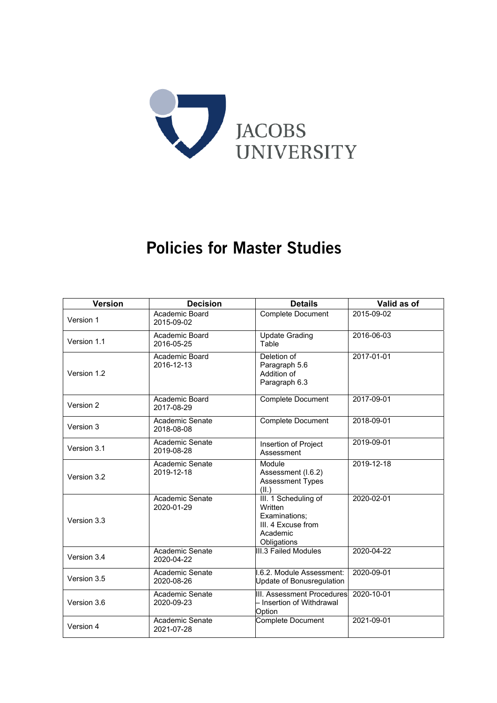

# Policies for Master Studies

| <b>Version</b> | <b>Decision</b>               | <b>Details</b>                                                                                    | Valid as of |
|----------------|-------------------------------|---------------------------------------------------------------------------------------------------|-------------|
| Version 1      | Academic Board<br>2015-09-02  | <b>Complete Document</b>                                                                          | 2015-09-02  |
| Version 1.1    | Academic Board<br>2016-05-25  | <b>Update Grading</b><br>Table                                                                    | 2016-06-03  |
| Version 1.2    | Academic Board<br>2016-12-13  | Deletion of<br>Paragraph 5.6<br>Addition of<br>Paragraph 6.3                                      | 2017-01-01  |
| Version 2      | Academic Board<br>2017-08-29  | Complete Document                                                                                 | 2017-09-01  |
| Version 3      | Academic Senate<br>2018-08-08 | <b>Complete Document</b>                                                                          | 2018-09-01  |
| Version 3.1    | Academic Senate<br>2019-08-28 | Insertion of Project<br>Assessment                                                                | 2019-09-01  |
| Version 3.2    | Academic Senate<br>2019-12-18 | Module<br>Assessment (I.6.2)<br>Assessment Types<br>(II.)                                         | 2019-12-18  |
| Version 3.3    | Academic Senate<br>2020-01-29 | III. 1 Scheduling of<br>Written<br>Examinations;<br>III. 4 Excuse from<br>Academic<br>Obligations | 2020-02-01  |
| Version 3.4    | Academic Senate<br>2020-04-22 | <b>III.3 Failed Modules</b>                                                                       | 2020-04-22  |
| Version 3.5    | Academic Senate<br>2020-08-26 | I.6.2. Module Assessment:<br>Update of Bonusregulation                                            | 2020-09-01  |
| Version 3.6    | Academic Senate<br>2020-09-23 | III. Assessment Procedures<br>- Insertion of Withdrawal<br>Option                                 | 2020-10-01  |
| Version 4      | Academic Senate<br>2021-07-28 | <b>Complete Document</b>                                                                          | 2021-09-01  |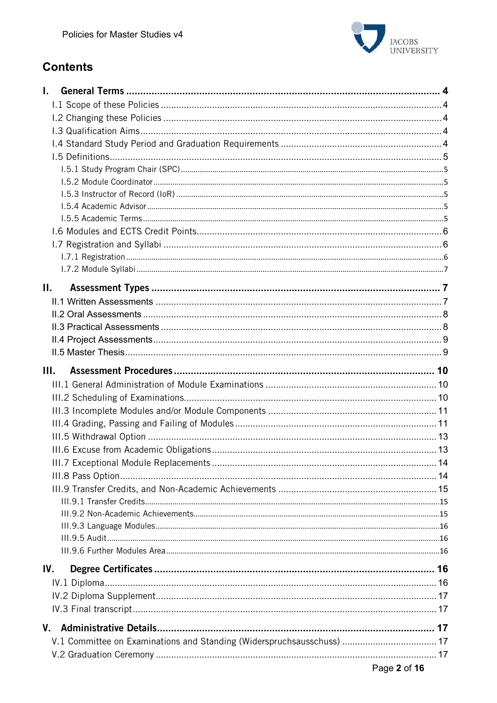

# **Contents**

| L.                                                                     |  |
|------------------------------------------------------------------------|--|
|                                                                        |  |
|                                                                        |  |
|                                                                        |  |
|                                                                        |  |
|                                                                        |  |
|                                                                        |  |
|                                                                        |  |
|                                                                        |  |
|                                                                        |  |
|                                                                        |  |
|                                                                        |  |
|                                                                        |  |
|                                                                        |  |
|                                                                        |  |
| П.                                                                     |  |
|                                                                        |  |
|                                                                        |  |
|                                                                        |  |
|                                                                        |  |
|                                                                        |  |
| Ш.                                                                     |  |
|                                                                        |  |
|                                                                        |  |
|                                                                        |  |
|                                                                        |  |
|                                                                        |  |
|                                                                        |  |
|                                                                        |  |
|                                                                        |  |
|                                                                        |  |
|                                                                        |  |
|                                                                        |  |
|                                                                        |  |
|                                                                        |  |
|                                                                        |  |
| IV.                                                                    |  |
|                                                                        |  |
|                                                                        |  |
|                                                                        |  |
|                                                                        |  |
|                                                                        |  |
| V.1 Committee on Examinations and Standing (Widerspruchsausschuss)  17 |  |
|                                                                        |  |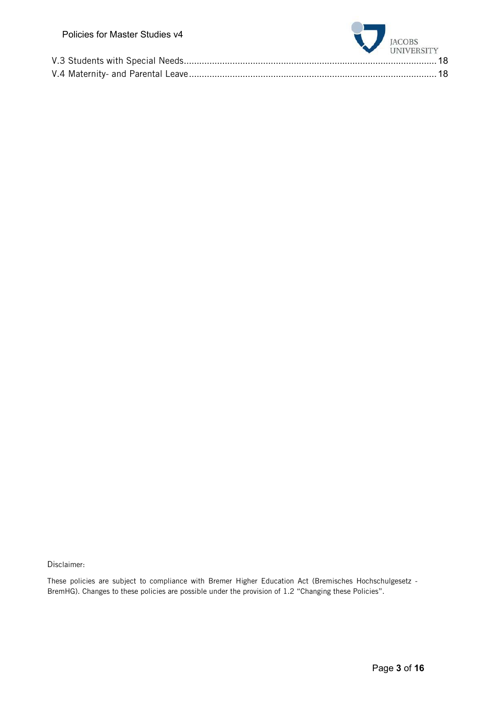| Policies for Master Studies v4 | JACOBS UNIVERSITY |
|--------------------------------|-------------------|
|                                |                   |
|                                |                   |
|                                |                   |

Disclaimer:

These policies are subject to compliance with Bremer Higher Education Act (Bremisches Hochschulgesetz - BremHG). Changes to these policies are possible under the provision of 1.2 "Changing these Policies".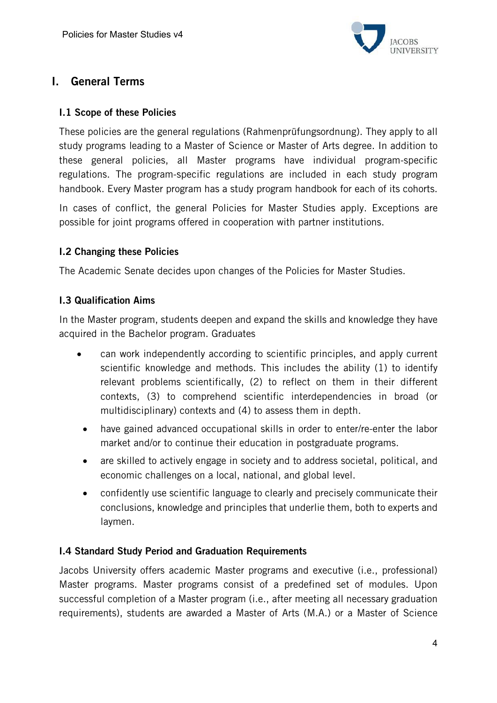

# I. General Terms

#### I.1 Scope of these Policies

These policies are the general regulations (Rahmenprüfungsordnung). They apply to all study programs leading to a Master of Science or Master of Arts degree. In addition to these general policies, all Master programs have individual program-specific regulations. The program-specific regulations are included in each study program handbook. Every Master program has a study program handbook for each of its cohorts.

In cases of conflict, the general Policies for Master Studies apply. Exceptions are possible for joint programs offered in cooperation with partner institutions.

#### I.2 Changing these Policies

The Academic Senate decides upon changes of the Policies for Master Studies.

#### I.3 Qualification Aims

In the Master program, students deepen and expand the skills and knowledge they have acquired in the Bachelor program. Graduates

- can work independently according to scientific principles, and apply current scientific knowledge and methods. This includes the ability (1) to identify relevant problems scientifically, (2) to reflect on them in their different contexts, (3) to comprehend scientific interdependencies in broad (or multidisciplinary) contexts and (4) to assess them in depth.
- have gained advanced occupational skills in order to enter/re-enter the labor market and/or to continue their education in postgraduate programs.
- are skilled to actively engage in society and to address societal, political, and economic challenges on a local, national, and global level.
- confidently use scientific language to clearly and precisely communicate their conclusions, knowledge and principles that underlie them, both to experts and laymen.

# I.4 Standard Study Period and Graduation Requirements

Jacobs University offers academic Master programs and executive (i.e., professional) Master programs. Master programs consist of a predefined set of modules. Upon successful completion of a Master program (i.e., after meeting all necessary graduation requirements), students are awarded a Master of Arts (M.A.) or a Master of Science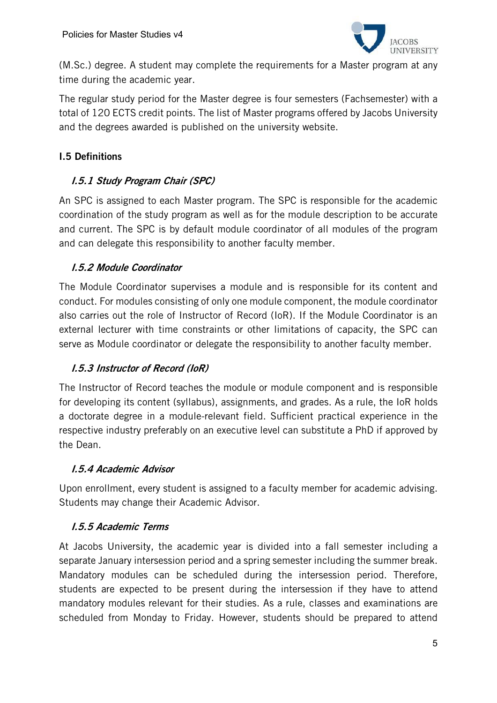

(M.Sc.) degree. A student may complete the requirements for a Master program at any time during the academic year.

The regular study period for the Master degree is four semesters (Fachsemester) with a total of 120 ECTS credit points. The list of Master programs offered by Jacobs University and the degrees awarded is published on the university website.

## I.5 Definitions

# I.5.1 Study Program Chair (SPC)

An SPC is assigned to each Master program. The SPC is responsible for the academic coordination of the study program as well as for the module description to be accurate and current. The SPC is by default module coordinator of all modules of the program and can delegate this responsibility to another faculty member.

#### I.5.2 Module Coordinator

The Module Coordinator supervises a module and is responsible for its content and conduct. For modules consisting of only one module component, the module coordinator also carries out the role of Instructor of Record (IoR). If the Module Coordinator is an external lecturer with time constraints or other limitations of capacity, the SPC can serve as Module coordinator or delegate the responsibility to another faculty member.

# I.5.3 Instructor of Record (IoR)

The Instructor of Record teaches the module or module component and is responsible for developing its content (syllabus), assignments, and grades. As a rule, the IoR holds a doctorate degree in a module-relevant field. Sufficient practical experience in the respective industry preferably on an executive level can substitute a PhD if approved by the Dean.

#### I.5.4 Academic Advisor

Upon enrollment, every student is assigned to a faculty member for academic advising. Students may change their Academic Advisor.

# I.5.5 Academic Terms

At Jacobs University, the academic year is divided into a fall semester including a separate January intersession period and a spring semester including the summer break. Mandatory modules can be scheduled during the intersession period. Therefore, students are expected to be present during the intersession if they have to attend mandatory modules relevant for their studies. As a rule, classes and examinations are scheduled from Monday to Friday. However, students should be prepared to attend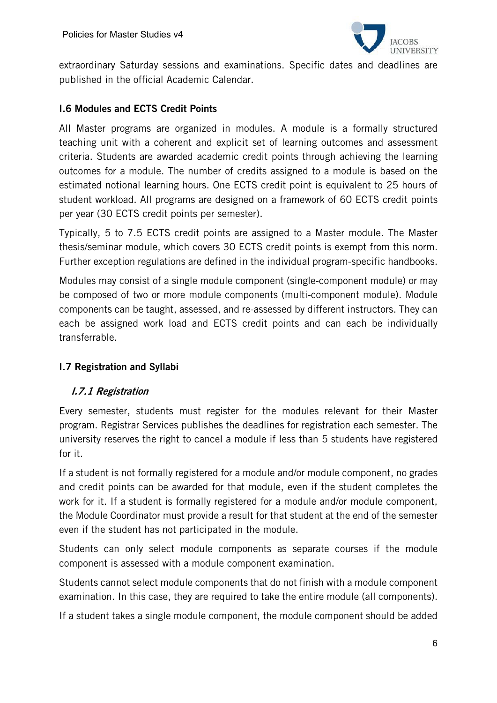

extraordinary Saturday sessions and examinations. Specific dates and deadlines are published in the official Academic Calendar.

#### I.6 Modules and ECTS Credit Points

All Master programs are organized in modules. A module is a formally structured teaching unit with a coherent and explicit set of learning outcomes and assessment criteria. Students are awarded academic credit points through achieving the learning outcomes for a module. The number of credits assigned to a module is based on the estimated notional learning hours. One ECTS credit point is equivalent to 25 hours of student workload. All programs are designed on a framework of 60 ECTS credit points per year (30 ECTS credit points per semester).

Typically, 5 to 7.5 ECTS credit points are assigned to a Master module. The Master thesis/seminar module, which covers 30 ECTS credit points is exempt from this norm. Further exception regulations are defined in the individual program-specific handbooks.

Modules may consist of a single module component (single-component module) or may be composed of two or more module components (multi-component module). Module components can be taught, assessed, and re-assessed by different instructors. They can each be assigned work load and ECTS credit points and can each be individually transferrable.

# I.7 Registration and Syllabi

#### I.7.1 Registration

Every semester, students must register for the modules relevant for their Master program. Registrar Services publishes the deadlines for registration each semester. The university reserves the right to cancel a module if less than 5 students have registered for it.

If a student is not formally registered for a module and/or module component, no grades and credit points can be awarded for that module, even if the student completes the work for it. If a student is formally registered for a module and/or module component, the Module Coordinator must provide a result for that student at the end of the semester even if the student has not participated in the module.

Students can only select module components as separate courses if the module component is assessed with a module component examination.

Students cannot select module components that do not finish with a module component examination. In this case, they are required to take the entire module (all components).

If a student takes a single module component, the module component should be added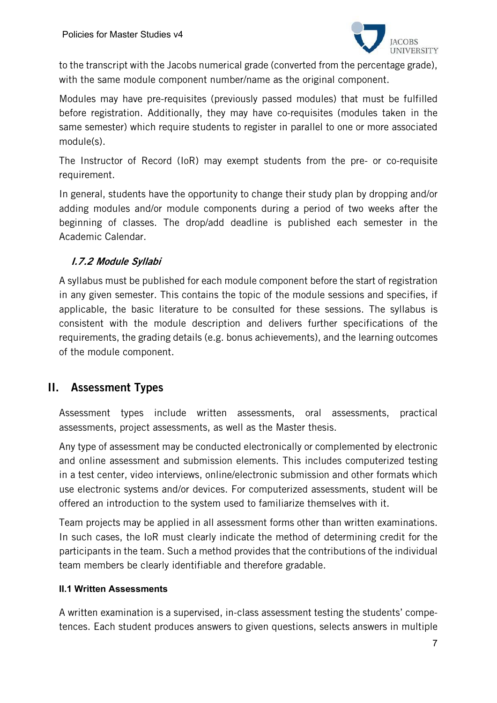

to the transcript with the Jacobs numerical grade (converted from the percentage grade), with the same module component number/name as the original component.

Modules may have pre-requisites (previously passed modules) that must be fulfilled before registration. Additionally, they may have co-requisites (modules taken in the same semester) which require students to register in parallel to one or more associated module(s).

The Instructor of Record (IoR) may exempt students from the pre- or co-requisite requirement.

In general, students have the opportunity to change their study plan by dropping and/or adding modules and/or module components during a period of two weeks after the beginning of classes. The drop/add deadline is published each semester in the Academic Calendar.

# I.7.2 Module Syllabi

A syllabus must be published for each module component before the start of registration in any given semester. This contains the topic of the module sessions and specifies, if applicable, the basic literature to be consulted for these sessions. The syllabus is consistent with the module description and delivers further specifications of the requirements, the grading details (e.g. bonus achievements), and the learning outcomes of the module component.

# II. Assessment Types

Assessment types include written assessments, oral assessments, practical assessments, project assessments, as well as the Master thesis.

Any type of assessment may be conducted electronically or complemented by electronic and online assessment and submission elements. This includes computerized testing in a test center, video interviews, online/electronic submission and other formats which use electronic systems and/or devices. For computerized assessments, student will be offered an introduction to the system used to familiarize themselves with it.

Team projects may be applied in all assessment forms other than written examinations. In such cases, the IoR must clearly indicate the method of determining credit for the participants in the team. Such a method provides that the contributions of the individual team members be clearly identifiable and therefore gradable.

#### **II.1 Written Assessments**

A written examination is a supervised, in-class assessment testing the students' competences. Each student produces answers to given questions, selects answers in multiple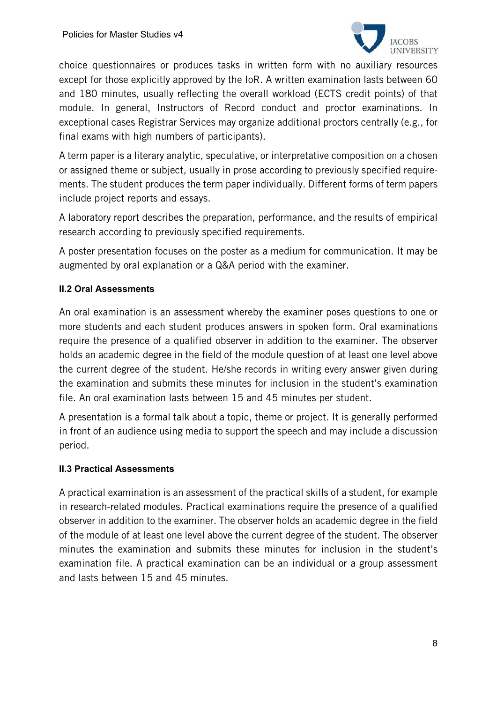

choice questionnaires or produces tasks in written form with no auxiliary resources except for those explicitly approved by the IoR. A written examination lasts between 60 and 180 minutes, usually reflecting the overall workload (ECTS credit points) of that module. In general, Instructors of Record conduct and proctor examinations. In exceptional cases Registrar Services may organize additional proctors centrally (e.g., for final exams with high numbers of participants).

A term paper is a literary analytic, speculative, or interpretative composition on a chosen or assigned theme or subject, usually in prose according to previously specified requirements. The student produces the term paper individually. Different forms of term papers include project reports and essays.

A laboratory report describes the preparation, performance, and the results of empirical research according to previously specified requirements.

A poster presentation focuses on the poster as a medium for communication. It may be augmented by oral explanation or a Q&A period with the examiner.

#### **II.2 Oral Assessments**

An oral examination is an assessment whereby the examiner poses questions to one or more students and each student produces answers in spoken form. Oral examinations require the presence of a qualified observer in addition to the examiner. The observer holds an academic degree in the field of the module question of at least one level above the current degree of the student. He/she records in writing every answer given during the examination and submits these minutes for inclusion in the student's examination file. An oral examination lasts between 15 and 45 minutes per student.

A presentation is a formal talk about a topic, theme or project. It is generally performed in front of an audience using media to support the speech and may include a discussion period.

#### **II.3 Practical Assessments**

A practical examination is an assessment of the practical skills of a student, for example in research-related modules. Practical examinations require the presence of a qualified observer in addition to the examiner. The observer holds an academic degree in the field of the module of at least one level above the current degree of the student. The observer minutes the examination and submits these minutes for inclusion in the student's examination file. A practical examination can be an individual or a group assessment and lasts between 15 and 45 minutes.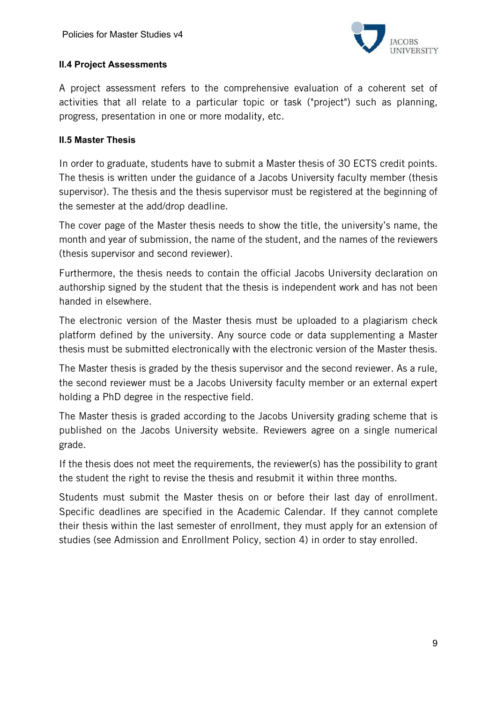

#### **II.4 Project Assessments**

A project assessment refers to the comprehensive evaluation of a coherent set of activities that all relate to a particular topic or task ("project") such as planning, progress, presentation in one or more modality, etc.

#### **II.5 Master Thesis**

In order to graduate, students have to submit a Master thesis of 30 ECTS credit points. The thesis is written under the guidance of a Jacobs University faculty member (thesis supervisor). The thesis and the thesis supervisor must be registered at the beginning of the semester at the add/drop deadline.

The cover page of the Master thesis needs to show the title, the university's name, the month and year of submission, the name of the student, and the names of the reviewers (thesis supervisor and second reviewer).

Furthermore, the thesis needs to contain the official Jacobs University declaration on authorship signed by the student that the thesis is independent work and has not been handed in elsewhere.

The electronic version of the Master thesis must be uploaded to a plagiarism check platform defined by the university. Any source code or data supplementing a Master thesis must be submitted electronically with the electronic version of the Master thesis.

The Master thesis is graded by the thesis supervisor and the second reviewer. As a rule, the second reviewer must be a Jacobs University faculty member or an external expert holding a PhD degree in the respective field.

The Master thesis is graded according to the Jacobs University grading scheme that is published on the Jacobs University website. Reviewers agree on a single numerical grade.

If the thesis does not meet the requirements, the reviewer(s) has the possibility to grant the student the right to revise the thesis and resubmit it within three months.

Students must submit the Master thesis on or before their last day of enrollment. Specific deadlines are specified in the Academic Calendar. If they cannot complete their thesis within the last semester of enrollment, they must apply for an extension of studies (see Admission and Enrollment Policy, section 4) in order to stay enrolled.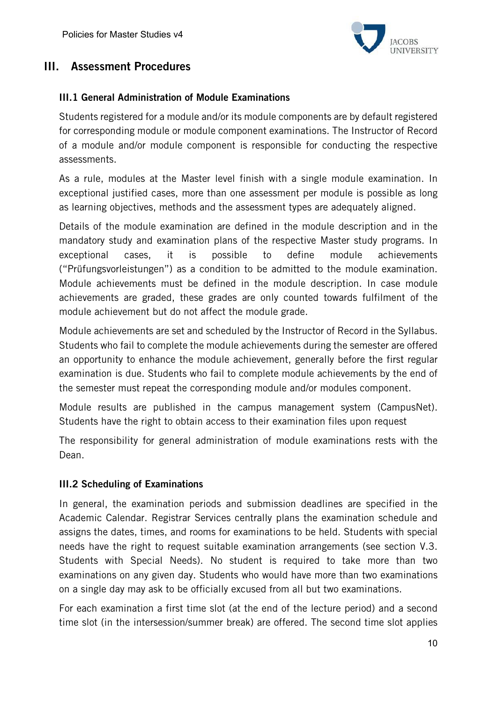

# III. Assessment Procedures

#### III.1 General Administration of Module Examinations

Students registered for a module and/or its module components are by default registered for corresponding module or module component examinations. The Instructor of Record of a module and/or module component is responsible for conducting the respective assessments.

As a rule, modules at the Master level finish with a single module examination. In exceptional justified cases, more than one assessment per module is possible as long as learning objectives, methods and the assessment types are adequately aligned.

Details of the module examination are defined in the module description and in the mandatory study and examination plans of the respective Master study programs. In exceptional cases, it is possible to define module achievements ("Prüfungsvorleistungen") as a condition to be admitted to the module examination. Module achievements must be defined in the module description. In case module achievements are graded, these grades are only counted towards fulfilment of the module achievement but do not affect the module grade.

Module achievements are set and scheduled by the Instructor of Record in the Syllabus. Students who fail to complete the module achievements during the semester are offered an opportunity to enhance the module achievement, generally before the first regular examination is due. Students who fail to complete module achievements by the end of the semester must repeat the corresponding module and/or modules component.

Module results are published in the campus management system (CampusNet). Students have the right to obtain access to their examination files upon request

The responsibility for general administration of module examinations rests with the Dean.

#### III.2 Scheduling of Examinations

In general, the examination periods and submission deadlines are specified in the Academic Calendar. Registrar Services centrally plans the examination schedule and assigns the dates, times, and rooms for examinations to be held. Students with special needs have the right to request suitable examination arrangements (see section V.3. Students with Special Needs). No student is required to take more than two examinations on any given day. Students who would have more than two examinations on a single day may ask to be officially excused from all but two examinations.

For each examination a first time slot (at the end of the lecture period) and a second time slot (in the intersession/summer break) are offered. The second time slot applies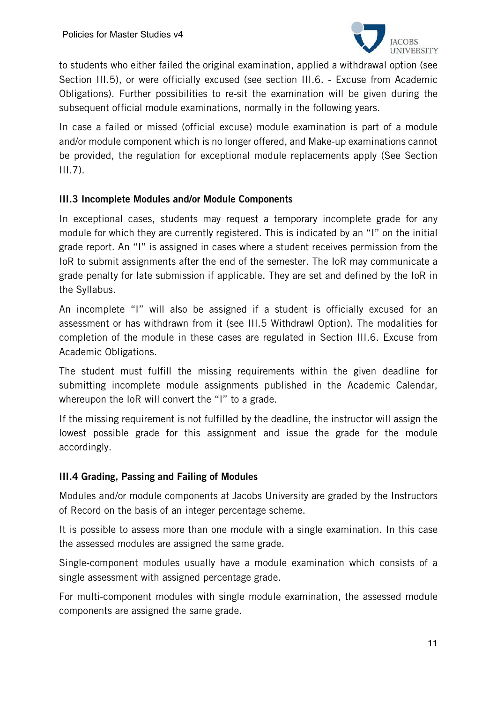

to students who either failed the original examination, applied a withdrawal option (see Section III.5), or were officially excused (see section III.6. - Excuse from Academic Obligations). Further possibilities to re-sit the examination will be given during the subsequent official module examinations, normally in the following years.

In case a failed or missed (official excuse) module examination is part of a module and/or module component which is no longer offered, and Make-up examinations cannot be provided, the regulation for exceptional module replacements apply (See Section  $III.7$ ).

#### III.3 Incomplete Modules and/or Module Components

In exceptional cases, students may request a temporary incomplete grade for any module for which they are currently registered. This is indicated by an "I" on the initial grade report. An "I" is assigned in cases where a student receives permission from the IoR to submit assignments after the end of the semester. The IoR may communicate a grade penalty for late submission if applicable. They are set and defined by the IoR in the Syllabus.

An incomplete "I" will also be assigned if a student is officially excused for an assessment or has withdrawn from it (see III.5 Withdrawl Option). The modalities for completion of the module in these cases are regulated in Section III.6. Excuse from Academic Obligations.

The student must fulfill the missing requirements within the given deadline for submitting incomplete module assignments published in the Academic Calendar, whereupon the IoR will convert the "I" to a grade.

If the missing requirement is not fulfilled by the deadline, the instructor will assign the lowest possible grade for this assignment and issue the grade for the module accordingly.

#### III.4 Grading, Passing and Failing of Modules

Modules and/or module components at Jacobs University are graded by the Instructors of Record on the basis of an integer percentage scheme.

It is possible to assess more than one module with a single examination. In this case the assessed modules are assigned the same grade.

Single-component modules usually have a module examination which consists of a single assessment with assigned percentage grade.

For multi-component modules with single module examination, the assessed module components are assigned the same grade.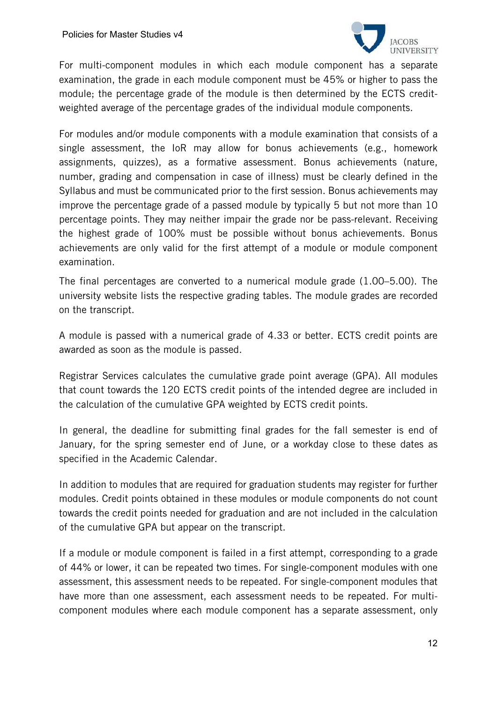

For multi-component modules in which each module component has a separate examination, the grade in each module component must be 45% or higher to pass the module; the percentage grade of the module is then determined by the ECTS creditweighted average of the percentage grades of the individual module components.

For modules and/or module components with a module examination that consists of a single assessment, the IoR may allow for bonus achievements (e.g., homework assignments, quizzes), as a formative assessment. Bonus achievements (nature, number, grading and compensation in case of illness) must be clearly defined in the Syllabus and must be communicated prior to the first session. Bonus achievements may improve the percentage grade of a passed module by typically 5 but not more than 10 percentage points. They may neither impair the grade nor be pass-relevant. Receiving the highest grade of 100% must be possible without bonus achievements. Bonus achievements are only valid for the first attempt of a module or module component examination.

The final percentages are converted to a numerical module grade (1.00–5.00). The university website lists the respective grading tables. The module grades are recorded on the transcript.

A module is passed with a numerical grade of 4.33 or better. ECTS credit points are awarded as soon as the module is passed.

Registrar Services calculates the cumulative grade point average (GPA). All modules that count towards the 120 ECTS credit points of the intended degree are included in the calculation of the cumulative GPA weighted by ECTS credit points.

In general, the deadline for submitting final grades for the fall semester is end of January, for the spring semester end of June, or a workday close to these dates as specified in the Academic Calendar.

In addition to modules that are required for graduation students may register for further modules. Credit points obtained in these modules or module components do not count towards the credit points needed for graduation and are not included in the calculation of the cumulative GPA but appear on the transcript.

If a module or module component is failed in a first attempt, corresponding to a grade of 44% or lower, it can be repeated two times. For single-component modules with one assessment, this assessment needs to be repeated. For single-component modules that have more than one assessment, each assessment needs to be repeated. For multicomponent modules where each module component has a separate assessment, only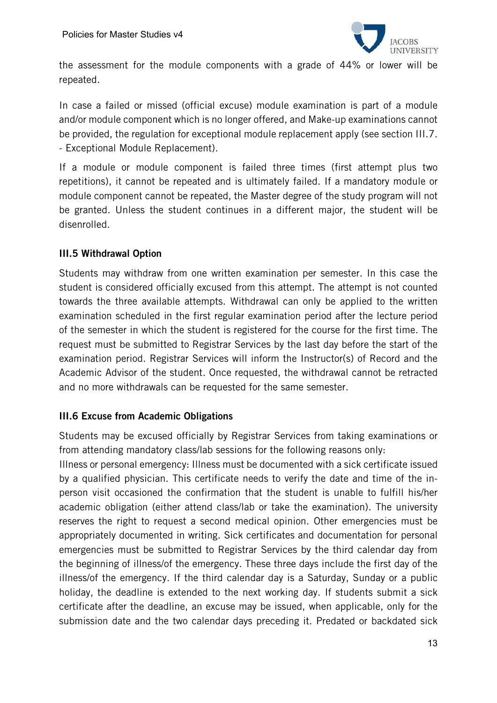

the assessment for the module components with a grade of 44% or lower will be repeated.

In case a failed or missed (official excuse) module examination is part of a module and/or module component which is no longer offered, and Make-up examinations cannot be provided, the regulation for exceptional module replacement apply (see section III.7. - Exceptional Module Replacement).

If a module or module component is failed three times (first attempt plus two repetitions), it cannot be repeated and is ultimately failed. If a mandatory module or module component cannot be repeated, the Master degree of the study program will not be granted. Unless the student continues in a different major, the student will be disenrolled.

#### III.5 Withdrawal Option

Students may withdraw from one written examination per semester. In this case the student is considered officially excused from this attempt. The attempt is not counted towards the three available attempts. Withdrawal can only be applied to the written examination scheduled in the first regular examination period after the lecture period of the semester in which the student is registered for the course for the first time. The request must be submitted to Registrar Services by the last day before the start of the examination period. Registrar Services will inform the Instructor(s) of Record and the Academic Advisor of the student. Once requested, the withdrawal cannot be retracted and no more withdrawals can be requested for the same semester.

#### III.6 Excuse from Academic Obligations

Students may be excused officially by Registrar Services from taking examinations or from attending mandatory class/lab sessions for the following reasons only:

Illness or personal emergency: Illness must be documented with a sick certificate issued by a qualified physician. This certificate needs to verify the date and time of the inperson visit occasioned the confirmation that the student is unable to fulfill his/her academic obligation (either attend class/lab or take the examination). The university reserves the right to request a second medical opinion. Other emergencies must be appropriately documented in writing. Sick certificates and documentation for personal emergencies must be submitted to Registrar Services by the third calendar day from the beginning of illness/of the emergency. These three days include the first day of the illness/of the emergency. If the third calendar day is a Saturday, Sunday or a public holiday, the deadline is extended to the next working day. If students submit a sick certificate after the deadline, an excuse may be issued, when applicable, only for the submission date and the two calendar days preceding it. Predated or backdated sick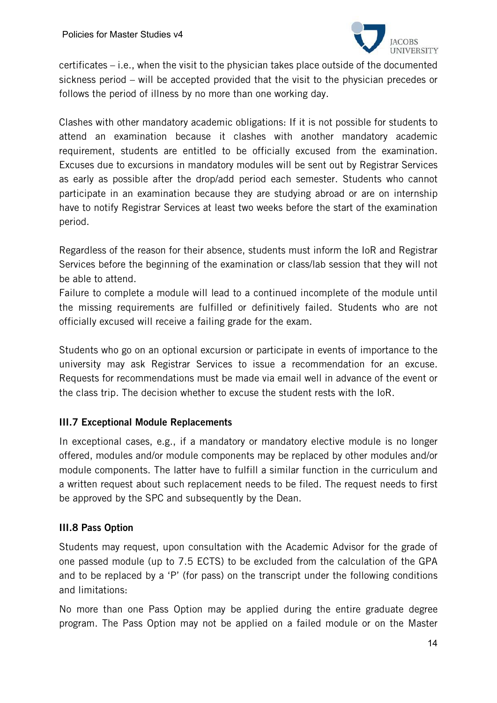

certificates – i.e., when the visit to the physician takes place outside of the documented sickness period – will be accepted provided that the visit to the physician precedes or follows the period of illness by no more than one working day.

Clashes with other mandatory academic obligations: If it is not possible for students to attend an examination because it clashes with another mandatory academic requirement, students are entitled to be officially excused from the examination. Excuses due to excursions in mandatory modules will be sent out by Registrar Services as early as possible after the drop/add period each semester. Students who cannot participate in an examination because they are studying abroad or are on internship have to notify Registrar Services at least two weeks before the start of the examination period.

Regardless of the reason for their absence, students must inform the IoR and Registrar Services before the beginning of the examination or class/lab session that they will not be able to attend.

Failure to complete a module will lead to a continued incomplete of the module until the missing requirements are fulfilled or definitively failed. Students who are not officially excused will receive a failing grade for the exam.

Students who go on an optional excursion or participate in events of importance to the university may ask Registrar Services to issue a recommendation for an excuse. Requests for recommendations must be made via email well in advance of the event or the class trip. The decision whether to excuse the student rests with the IoR.

# III.7 Exceptional Module Replacements

In exceptional cases, e.g., if a mandatory or mandatory elective module is no longer offered, modules and/or module components may be replaced by other modules and/or module components. The latter have to fulfill a similar function in the curriculum and a written request about such replacement needs to be filed. The request needs to first be approved by the SPC and subsequently by the Dean.

# III.8 Pass Option

Students may request, upon consultation with the Academic Advisor for the grade of one passed module (up to 7.5 ECTS) to be excluded from the calculation of the GPA and to be replaced by a 'P' (for pass) on the transcript under the following conditions and limitations:

No more than one Pass Option may be applied during the entire graduate degree program. The Pass Option may not be applied on a failed module or on the Master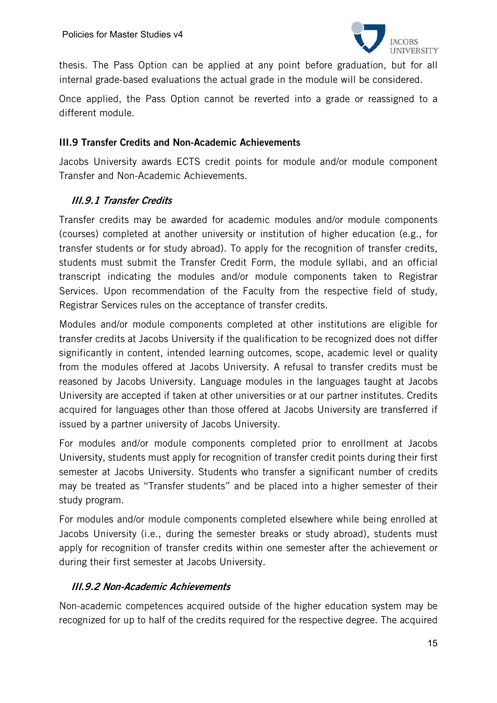

thesis. The Pass Option can be applied at any point before graduation, but for all internal grade-based evaluations the actual grade in the module will be considered.

Once applied, the Pass Option cannot be reverted into a grade or reassigned to a different module.

#### III.9 Transfer Credits and Non-Academic Achievements

Jacobs University awards ECTS credit points for module and/or module component Transfer and Non-Academic Achievements.

#### III.9.1 Transfer Credits

Transfer credits may be awarded for academic modules and/or module components (courses) completed at another university or institution of higher education (e.g., for transfer students or for study abroad). To apply for the recognition of transfer credits, students must submit the Transfer Credit Form, the module syllabi, and an official transcript indicating the modules and/or module components taken to Registrar Services. Upon recommendation of the Faculty from the respective field of study, Registrar Services rules on the acceptance of transfer credits.

Modules and/or module components completed at other institutions are eligible for transfer credits at Jacobs University if the qualification to be recognized does not differ significantly in content, intended learning outcomes, scope, academic level or quality from the modules offered at Jacobs University. A refusal to transfer credits must be reasoned by Jacobs University. Language modules in the languages taught at Jacobs University are accepted if taken at other universities or at our partner institutes. Credits acquired for languages other than those offered at Jacobs University are transferred if issued by a partner university of Jacobs University.

For modules and/or module components completed prior to enrollment at Jacobs University, students must apply for recognition of transfer credit points during their first semester at Jacobs University. Students who transfer a significant number of credits may be treated as "Transfer students" and be placed into a higher semester of their study program.

For modules and/or module components completed elsewhere while being enrolled at Jacobs University (i.e., during the semester breaks or study abroad), students must apply for recognition of transfer credits within one semester after the achievement or during their first semester at Jacobs University.

#### III.9.2 Non-Academic Achievements

Non-academic competences acquired outside of the higher education system may be recognized for up to half of the credits required for the respective degree. The acquired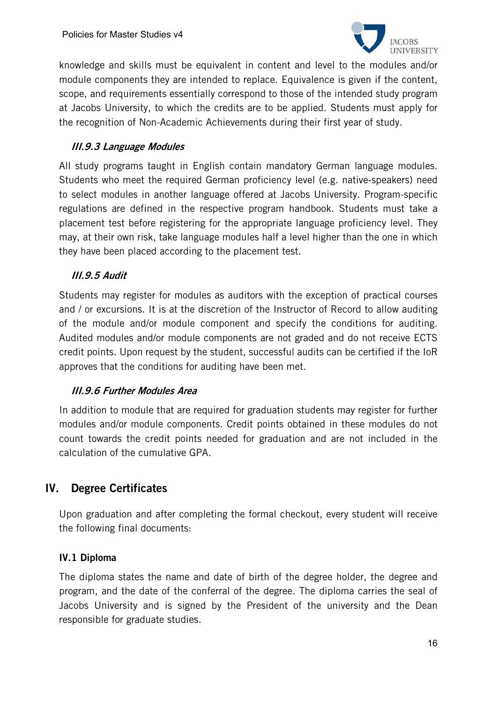

knowledge and skills must be equivalent in content and level to the modules and/or module components they are intended to replace. Equivalence is given if the content, scope, and requirements essentially correspond to those of the intended study program at Jacobs University, to which the credits are to be applied. Students must apply for the recognition of Non-Academic Achievements during their first year of study.

# III.9.3 Language Modules

All study programs taught in English contain mandatory German language modules. Students who meet the required German proficiency level (e.g. native-speakers) need to select modules in another language offered at Jacobs University. Program-specific regulations are defined in the respective program handbook. Students must take a placement test before registering for the appropriate language proficiency level. They may, at their own risk, take language modules half a level higher than the one in which they have been placed according to the placement test.

# III.9.5 Audit

Students may register for modules as auditors with the exception of practical courses and / or excursions. It is at the discretion of the Instructor of Record to allow auditing of the module and/or module component and specify the conditions for auditing. Audited modules and/or module components are not graded and do not receive ECTS credit points. Upon request by the student, successful audits can be certified if the IoR approves that the conditions for auditing have been met.

# III.9.6 Further Modules Area

In addition to module that are required for graduation students may register for further modules and/or module components. Credit points obtained in these modules do not count towards the credit points needed for graduation and are not included in the calculation of the cumulative GPA.

# IV. Degree Certificates

Upon graduation and after completing the formal checkout, every student will receive the following final documents:

# IV.1 Diploma

The diploma states the name and date of birth of the degree holder, the degree and program, and the date of the conferral of the degree. The diploma carries the seal of Jacobs University and is signed by the President of the university and the Dean responsible for graduate studies.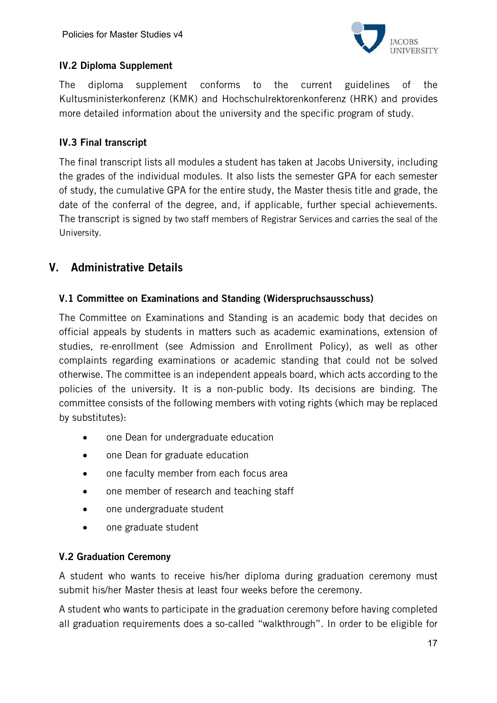

# IV.2 Diploma Supplement

The diploma supplement conforms to the current guidelines of the Kultusministerkonferenz (KMK) and Hochschulrektorenkonferenz (HRK) and provides more detailed information about the university and the specific program of study.

## IV.3 Final transcript

The final transcript lists all modules a student has taken at Jacobs University, including the grades of the individual modules. It also lists the semester GPA for each semester of study, the cumulative GPA for the entire study, the Master thesis title and grade, the date of the conferral of the degree, and, if applicable, further special achievements. The transcript is signed by two staff members of Registrar Services and carries the seal of the University.

# V. Administrative Details

#### V.1 Committee on Examinations and Standing (Widerspruchsausschuss)

The Committee on Examinations and Standing is an academic body that decides on official appeals by students in matters such as academic examinations, extension of studies, re-enrollment (see Admission and Enrollment Policy), as well as other complaints regarding examinations or academic standing that could not be solved otherwise. The committee is an independent appeals board, which acts according to the policies of the university. It is a non-public body. Its decisions are binding. The committee consists of the following members with voting rights (which may be replaced by substitutes):

- one Dean for undergraduate education
- one Dean for graduate education
- one faculty member from each focus area
- one member of research and teaching staff
- one undergraduate student
- one graduate student

#### V.2 Graduation Ceremony

A student who wants to receive his/her diploma during graduation ceremony must submit his/her Master thesis at least four weeks before the ceremony.

A student who wants to participate in the graduation ceremony before having completed all graduation requirements does a so-called "walkthrough". In order to be eligible for